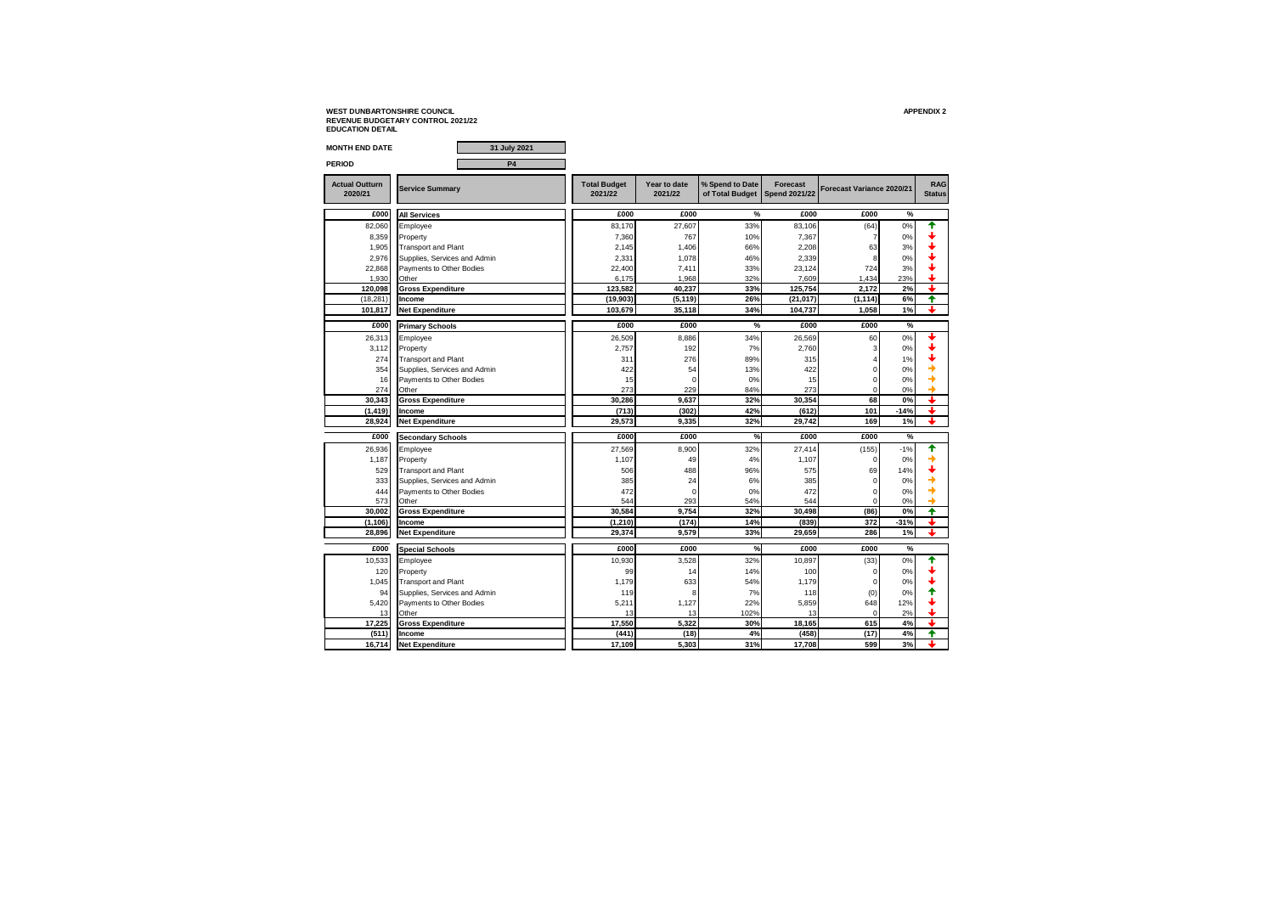| <b>MONTH END DATE</b>            | 31 July 2021                 |                                |                         |                                    |                                         |                           |        |                             |
|----------------------------------|------------------------------|--------------------------------|-------------------------|------------------------------------|-----------------------------------------|---------------------------|--------|-----------------------------|
| PERIOD                           | <b>P4</b>                    |                                |                         |                                    |                                         |                           |        |                             |
| <b>Actual Outturn</b><br>2020/21 | <b>Service Summary</b>       | <b>Total Budget</b><br>2021/22 | Year to date<br>2021/22 | % Spend to Date<br>of Total Budget | <b>Forecast</b><br><b>Spend 2021/22</b> | Forecast Variance 2020/21 |        | <b>RAG</b><br><b>Status</b> |
| £000                             | <b>All Services</b>          | £000                           | £000                    | %                                  | £000                                    | £000                      | %      |                             |
| 82,060                           | Employee                     | 83,170                         | 27,607                  | 33%                                | 83,106                                  | (64)                      | 0%     | ♠                           |
| 8,359                            | Property                     | 7,360                          | 767                     | 10%                                | 7,367                                   |                           | 0%     |                             |
| 1,905                            | <b>Transport and Plant</b>   | 2,145                          | 1,406                   | 66%                                | 2,208                                   | 63                        | 3%     |                             |
| 2,976                            | Supplies, Services and Admin | 2,331                          | 1,078                   | 46%                                | 2,339                                   |                           | 0%     |                             |
| 22,868                           | Payments to Other Bodies     | 22,400                         | 7,411                   | 33%                                | 23,124                                  | 724                       | 3%     |                             |
| 1.930                            | Other                        | 6.175                          | 1.968                   | 32%                                | 7.609                                   | 1,434                     | 23%    |                             |
| 120,098                          | <b>Gross Expenditure</b>     | 123,582                        | 40,237                  | 33%                                | 125,754                                 | 2.172                     | 2%     | t                           |
| (18, 281)                        | Income                       | (19, 903)                      | (5, 119)                | 26%                                | (21, 017)                               | (1, 114)                  | 6%     | ♠                           |
| 101,817                          | <b>Net Expenditure</b>       | 103,679                        | 35,118                  | 34%                                | 104,737                                 | 1,058                     | 1%     | ı                           |
| £000                             | <b>Primary Schools</b>       | £000                           | £000                    | %                                  | £000                                    | £000                      | $\%$   |                             |
| 26,313                           | Employee                     | 26,509                         | 8,886                   | 34%                                | 26,569                                  | 60                        | 0%     |                             |
| 3,112                            | Property                     | 2,757                          | 192                     | 7%                                 | 2,760                                   | 3                         | 0%     |                             |
| 274                              | <b>Transport and Plant</b>   | 311                            | 276                     | 89%                                | 315                                     | 4                         | 1%     |                             |
| 354                              | Supplies, Services and Admin | 422                            | 54                      | 13%                                | 422                                     | $\mathbf 0$               | 0%     |                             |
| 16                               | Payments to Other Bodies     | 15                             | $\Omega$                | 0%                                 | 15                                      | $\mathbf 0$               | 0%     |                             |
| 274                              | Other                        | 273                            | 229                     | 84%                                | 273                                     | $\mathbf 0$               | 0%     |                             |
| 30.343                           | <b>Gross Expenditure</b>     | 30.286                         | 9.637                   | 32%                                | 30.354                                  | 68                        | 0%     |                             |
| (1, 419)                         | Income                       | (713)                          | (302)                   | 42%                                | (612)                                   | 101                       | $-14%$ | ┻                           |
| 28,924                           | <b>Net Expenditure</b>       | 29,573                         | 9,335                   | 32%                                | 29,742                                  | 169                       | 1%     | ┻                           |
| £000                             | <b>Secondary Schools</b>     | £000                           | £000                    | %                                  | £000                                    | £000                      | %      |                             |
| 26,936                           | Employee                     | 27,569                         | 8,900                   | 32%                                | 27,414                                  | (155)                     | $-1%$  | ♠                           |
| 1,187                            | Property                     | 1,107                          | 49                      | 4%                                 | 1,107                                   | $\mathbf 0$               | 0%     |                             |
| 529                              | <b>Transport and Plant</b>   | 506                            | 488                     | 96%                                | 575                                     | 69                        | 14%    |                             |
| 333                              | Supplies, Services and Admin | 385                            | 24                      | 6%                                 | 385                                     | $\mathbf 0$               | 0%     |                             |
| 444                              | Payments to Other Bodies     | 472                            | $\Omega$                | 0%                                 | 472                                     | $\mathbf 0$               | 0%     |                             |
| 573                              | Other                        | 544                            | 293                     | 54%                                | 544                                     | $\Omega$                  | 0%     |                             |
| 30,002                           | <b>Gross Expenditure</b>     | 30,584                         | 9,754                   | 32%                                | 30,498                                  | (86)                      | 0%     | ♠                           |
| (1, 106)                         | Income                       | (1, 210)                       | (174)                   | 14%                                | (839)                                   | 372                       | $-31%$ | ı                           |
| 28,896                           | <b>Net Expenditure</b>       | 29,374                         | 9,579                   | 33%                                | 29,659                                  | 286                       | 1%     | ┹                           |
| £000                             | <b>Special Schools</b>       | £000                           | £000                    | %                                  | £000                                    | £000                      | %      |                             |
| 10,533                           | Employee                     | 10,930                         | 3,528                   | 32%                                | 10,897                                  | (33)                      | 0%     | ↟                           |
| 120                              | Property                     | 99                             | 14                      | 14%                                | 100                                     | $\Omega$                  | 0%     |                             |
| 1,045                            | <b>Transport and Plant</b>   | 1,179                          | 633                     | 54%                                | 1,179                                   | $\mathbf 0$               | 0%     |                             |
| 94                               | Supplies, Services and Admin | 119                            | 8                       | 7%                                 | 118                                     | (0)                       | 0%     |                             |
| 5,420                            | Payments to Other Bodies     | 5,211                          | 1,127                   | 22%                                | 5,859                                   | 648                       | 12%    |                             |
| 13                               | Other                        | 13                             | 13                      | 102%                               | 13                                      | $\Omega$                  | 2%     |                             |
| 17.225                           | <b>Gross Expenditure</b>     | 17.550                         | 5.322                   | 30%                                | 18.165                                  | 615                       | 4%     |                             |
| (511)                            | Income                       | (441)                          | (18)                    | 4%                                 | (458)                                   | (17)                      | 4%     | ♠                           |
| 16,714                           | <b>Net Expenditure</b>       | 17,109                         | 5,303                   | 31%                                | 17,708                                  | 599                       | 3%     |                             |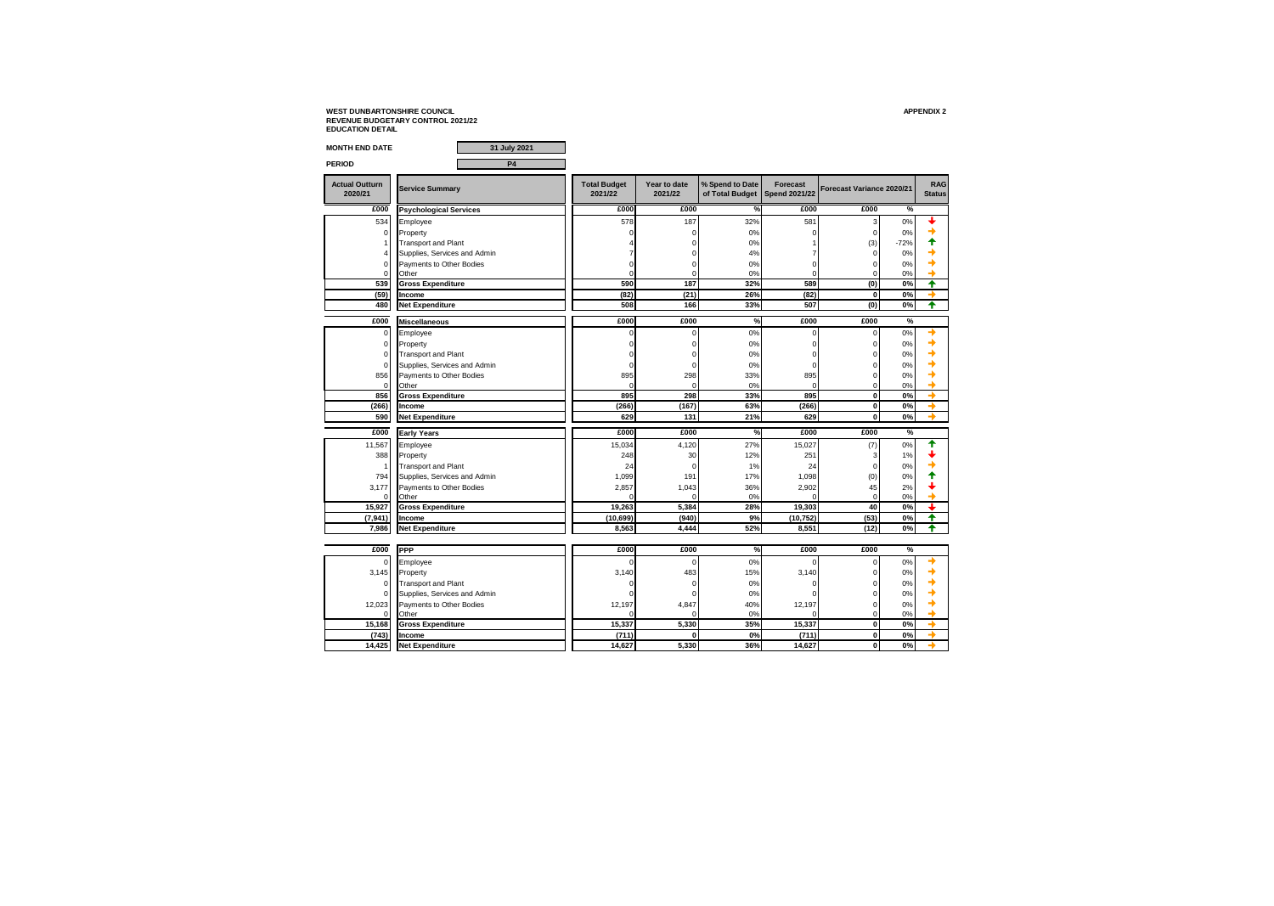| <b>MONTH END DATE</b>            | 31 July 2021                  |                                |                         |                                    |                                  |                           |        |                             |
|----------------------------------|-------------------------------|--------------------------------|-------------------------|------------------------------------|----------------------------------|---------------------------|--------|-----------------------------|
| <b>PERIOD</b>                    | <b>P4</b>                     |                                |                         |                                    |                                  |                           |        |                             |
| <b>Actual Outturn</b><br>2020/21 | <b>Service Summary</b>        | <b>Total Budget</b><br>2021/22 | Year to date<br>2021/22 | % Spend to Date<br>of Total Budget | Forecast<br><b>Spend 2021/22</b> | Forecast Variance 2020/21 |        | <b>RAG</b><br><b>Status</b> |
| £000                             | <b>Psychological Services</b> | £000                           | £000                    | %                                  | £000                             | £000                      | %      |                             |
| 534                              | Employee                      | 578                            | 187                     | 32%                                | 581                              | 3                         | 0%     |                             |
| $\Omega$                         | Property                      |                                | 0                       | 0%                                 | n                                | $\mathbf 0$               | 0%     |                             |
| $\overline{1}$                   | <b>Transport and Plant</b>    |                                | 0                       | 0%                                 |                                  | (3)                       | $-72%$ |                             |
| 4                                | Supplies, Services and Admin  |                                | 0                       | 4%                                 | 7                                | $\mathbf 0$               | 0%     |                             |
| $\mathbf 0$                      | Payments to Other Bodies      | n                              | 0                       | 0%                                 | $\mathbf 0$                      | $\mathbf 0$               | 0%     |                             |
| $\mathbf 0$                      | Other                         | $\Omega$                       | 0                       | 0%                                 | 0                                | $\overline{0}$            | 0%     |                             |
| 539                              | <b>Gross Expenditure</b>      | 590                            | 187                     | 32%                                | 589                              | (0)                       | 0%     | ♠                           |
| (59)                             | Income                        | (82)                           | (21)                    | 26%                                | (82)                             | $\mathbf 0$               | 0%     |                             |
| 480                              | <b>Net Expenditure</b>        | 508                            | 166                     | 33%                                | 507                              | (0)                       | 0%     | ♠                           |
| £000                             | <b>Miscellaneous</b>          | £000                           | £000                    | %                                  | £000                             | £000                      | %      |                             |
| $\mathbf 0$                      | Employee                      | 0                              | 0                       | 0%                                 | $\mathbf 0$                      | 0                         | 0%     |                             |
| $\mathbf 0$                      | Property                      | O                              | 0                       | 0%                                 | 0                                | $\overline{0}$            | 0%     |                             |
| $\mathbf 0$                      | <b>Transport and Plant</b>    | O                              | 0                       | 0%                                 | $\Omega$                         | $\overline{0}$            | 0%     |                             |
| $\mathbf 0$                      | Supplies, Services and Admin  | 0                              | 0                       | 0%                                 | $\Omega$                         | $\Omega$                  | 0%     |                             |
| 856                              | Payments to Other Bodies      | 895                            | 298                     | 33%                                | 895                              | $\overline{0}$            | 0%     |                             |
| $\mathbf 0$                      | Other                         | $\Omega$                       | $\Omega$                | 0%                                 | $\Omega$                         | $\overline{0}$            | 0%     |                             |
| 856                              | <b>Gross Expenditure</b>      | 895                            | 298                     | 33%                                | 895                              | $\mathbf 0$               | 0%     |                             |
| (266)                            | Income                        | (266)                          | (167)                   | 63%                                | (266)                            | $\mathbf{0}$              | 0%     |                             |
| 590                              | <b>Net Expenditure</b>        | 629                            | 131                     | 21%                                | 629                              | $\mathbf 0$               | 0%     |                             |
| £000                             | <b>Early Years</b>            | £000                           | £000                    | %                                  | £000                             | £000                      | %      |                             |
| 11.567                           | Employee                      | 15.034                         | 4.120                   | 27%                                | 15.027                           | (7)                       | 0%     |                             |
| 388                              | Property                      | 248                            | 30                      | 12%                                | 251                              | 3                         | 1%     |                             |
| $\overline{1}$                   | <b>Transport and Plant</b>    | 24                             | $\Omega$                | 1%                                 | 24                               | $\mathbf 0$               | 0%     |                             |
| 794                              | Supplies, Services and Admin  | 1,099                          | 191                     | 17%                                | 1,098                            | (0)                       | 0%     |                             |
| 3,177                            | Payments to Other Bodies      | 2,857                          | 1,043                   | 36%                                | 2,902                            | 45                        | 2%     |                             |
| 0                                | Other                         |                                | $\Omega$                | 0%                                 | n                                | $\Omega$                  | 0%     |                             |
| 15,927                           | <b>Gross Expenditure</b>      | 19,263                         | 5,384                   | 28%                                | 19,303                           | 40                        | 0%     | ┹                           |
| (7, 941)                         | Income                        | (10, 699)                      | (940)                   | 9%                                 | (10, 752)                        | (53)                      | 0%     | ♠                           |
| 7,986                            | <b>Net Expenditure</b>        | 8.563                          | 4.444                   | 52%                                | 8.551                            | (12)                      | 0%     | ♠                           |
|                                  |                               |                                |                         |                                    |                                  |                           |        |                             |
| £000                             | PPP                           | £000                           | £000                    | %                                  | £000                             | £000                      | %      |                             |
| $\mathbf 0$                      | Employee                      | n                              | 0                       | 0%                                 | n                                | $\overline{0}$            | $0\%$  |                             |
| 3,145                            | Property                      | 3,140                          | 483                     | 15%                                | 3,140                            | $\overline{0}$            | 0%     |                             |
| $\mathbf 0$                      | <b>Transport and Plant</b>    | n                              | 0                       | 0%                                 | $\Omega$                         | $\Omega$                  | 0%     |                             |
| $\Omega$                         | Supplies, Services and Admin  |                                | $\Omega$                | 0%                                 | n                                | $\Omega$                  | 0%     |                             |
| 12,023                           | Payments to Other Bodies      | 12,197                         | 4,847                   | 40%                                | 12,197                           | $\overline{0}$            | 0%     |                             |
| 0                                | Other                         |                                | O                       | 0%                                 | n                                | $\overline{0}$            | 0%     |                             |
| 15,168                           | <b>Gross Expenditure</b>      | 15,337                         | 5,330                   | 35%                                | 15,337                           | $\mathbf{0}$              | 0%     |                             |
| (743)                            | Income                        | (711)                          | 0                       | 0%                                 | (711)                            | $\mathbf 0$               | 0%     |                             |
| 14,425                           | <b>Net Expenditure</b>        | 14,627                         | 5,330                   | 36%                                | 14,627                           | $\overline{\mathbf{0}}$   | 0%     |                             |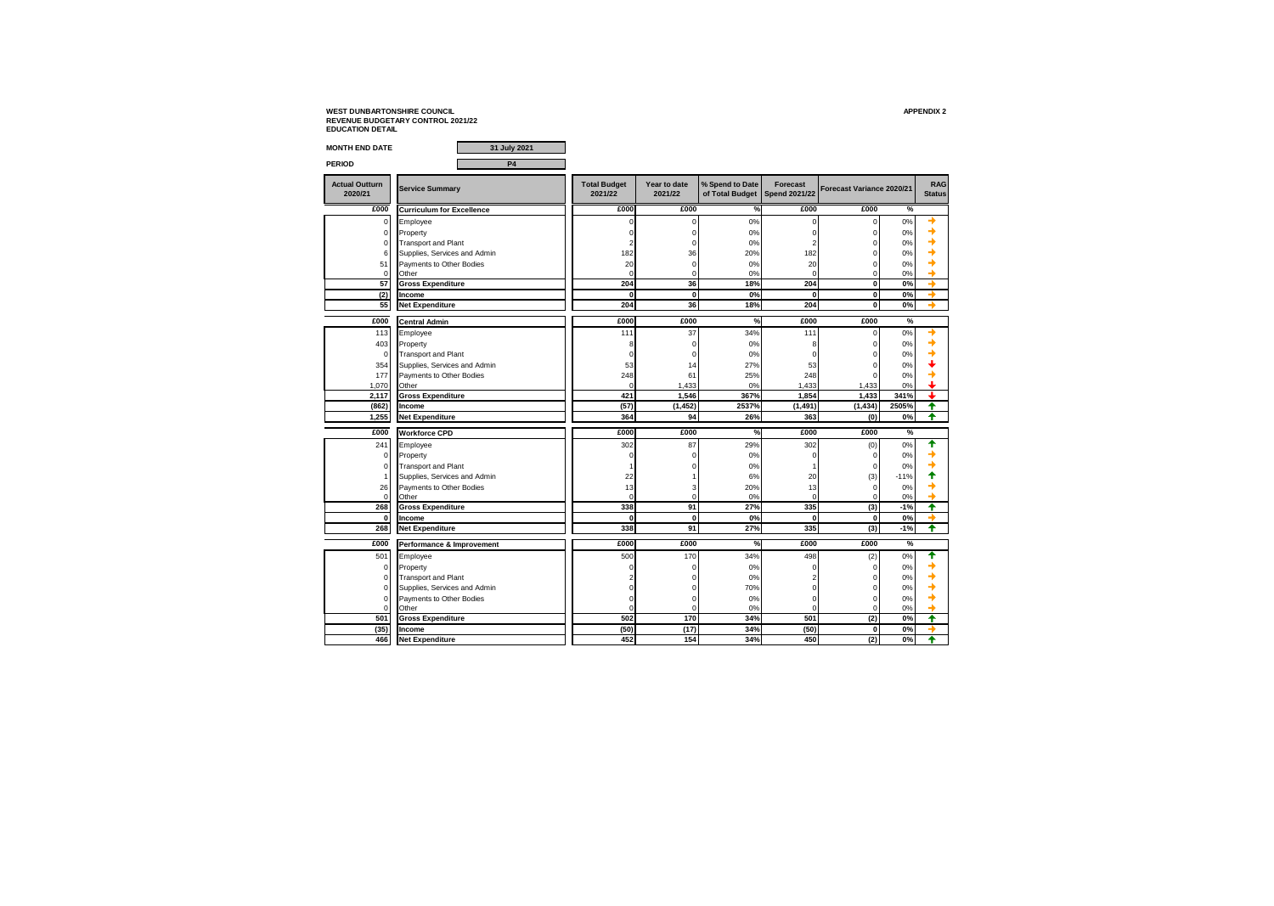| <b>MONTH END DATE</b>            | 31 July 2021                     |                                |                         |                                    |                                         |                           |        |                             |
|----------------------------------|----------------------------------|--------------------------------|-------------------------|------------------------------------|-----------------------------------------|---------------------------|--------|-----------------------------|
| <b>PERIOD</b>                    | <b>P4</b>                        |                                |                         |                                    |                                         |                           |        |                             |
| <b>Actual Outturn</b><br>2020/21 | <b>Service Summary</b>           | <b>Total Budget</b><br>2021/22 | Year to date<br>2021/22 | % Spend to Date<br>of Total Budget | <b>Forecast</b><br><b>Spend 2021/22</b> | Forecast Variance 2020/21 |        | <b>RAG</b><br><b>Status</b> |
| £000                             | <b>Curriculum for Excellence</b> | £000                           | £000                    | %                                  | £000                                    | £000                      | %      |                             |
| $\mathbf 0$                      | Employee                         | 0                              | $\mathbf 0$             | 0%                                 | $\mathbf 0$                             | 0                         | 0%     |                             |
| $\mathbf 0$                      | Property                         | 0                              | 0                       | $0\%$                              | $\Omega$                                | 0                         | 0%     |                             |
| $\mathbf 0$                      | <b>Transport and Plant</b>       | $\overline{\mathcal{L}}$       | 0                       | 0%                                 | 2                                       | 0                         | 0%     |                             |
| 6                                | Supplies, Services and Admin     | 182                            | 36                      | 20%                                | 182                                     | 0                         | 0%     |                             |
| 51                               | Payments to Other Bodies         | 20                             | $\mathbf 0$             | 0%                                 | 20                                      | 0                         | 0%     |                             |
| $\mathbf 0$                      | Other                            | 0                              | 0                       | 0%                                 | $\Omega$                                | 0                         | 0%     |                             |
| 57                               | <b>Gross Expenditure</b>         | 204                            | 36                      | 18%                                | 204                                     | Ō                         | 0%     |                             |
| (2)                              | Income                           | $\mathbf{0}$                   | $\mathbf{0}$            | 0%                                 | $\mathbf{0}$                            | 0                         | 0%     |                             |
| 55                               | Net Expenditure                  | 204                            | 36                      | 18%                                | 204                                     | 0                         | 0%     |                             |
| £000                             | <b>Central Admin</b>             | £000                           | £000                    | %                                  | £000                                    | £000                      | %      |                             |
| 113                              | Employee                         | 111                            | 37                      | 34%                                | 111                                     | 0                         | 0%     |                             |
| 403                              | Property                         | 8                              | $\mathbf 0$             | 0%                                 | 8                                       | 0                         | 0%     |                             |
| $\mathbf 0$                      | <b>Transport and Plant</b>       | $\Omega$                       | 0                       | 0%                                 | $\Omega$                                | 0                         | 0%     |                             |
| 354                              | Supplies, Services and Admin     | 53                             | 14                      | 27%                                | 53                                      | $\Omega$                  | 0%     |                             |
| 177                              | Payments to Other Bodies         | 248                            | 61                      | 25%                                | 248                                     | $\Omega$                  | 0%     |                             |
| 1,070                            | Other                            | $\Omega$                       | 1,433                   | 0%                                 | 1,433                                   | 1,433                     | 0%     |                             |
| 2,117                            | <b>Gross Expenditure</b>         | 421                            | 1,546                   | 367%                               | 1,854                                   | 1,433                     | 341%   |                             |
| (862)                            | Income                           | (57)                           | (1.452)                 | 2537%                              | (1.491)                                 | (1.434)                   | 2505%  | ♠                           |
| 1,255                            | <b>Net Expenditure</b>           | 364                            | 94                      | 26%                                | 363                                     | (0)                       | 0%     | ♠                           |
| £000                             | <b>Workforce CPD</b>             | £000                           | £000                    | %                                  | £000                                    | £000                      | %      |                             |
| 241                              | Employee                         | 302                            | 87                      | 29%                                | 302                                     | (0)                       | 0%     | ♠                           |
| $\mathbf 0$                      | Property                         | 0                              | 0                       | 0%                                 | $\Omega$                                | 0                         | 0%     |                             |
| $\mathbf 0$                      | <b>Transport and Plant</b>       |                                | 0                       | 0%                                 |                                         | 0                         | 0%     |                             |
| $\overline{1}$                   | Supplies, Services and Admin     | 22                             | 1                       | 6%                                 | 20                                      | (3)                       | $-11%$ |                             |
| 26                               | Payments to Other Bodies         | 13                             | 3                       | 20%                                | 13                                      | 0                         | 0%     |                             |
| $\mathbf 0$                      | Other                            | $\Omega$                       | $\mathbf 0$             | 0%                                 | $\Omega$                                | 0                         | 0%     |                             |
| 268                              | <b>Gross Expenditure</b>         | 338                            | 91                      | 27%                                | 335                                     | (3)                       | $-1%$  | ♠                           |
| $\mathbf 0$                      | Income                           | $\mathbf 0$                    | $\mathbf{0}$            | 0%                                 | $\mathbf 0$                             | 0                         | 0%     |                             |
| 268                              | <b>Net Expenditure</b>           | 338                            | 91                      | 27%                                | 335                                     | (3)                       | $-1%$  | ₳                           |
| £000                             | Performance & Improvement        | £000                           | £000                    | %                                  | £000                                    | £000                      | $\%$   |                             |
| 501                              | Employee                         | 500                            | 170                     | 34%                                | 498                                     | (2)                       | 0%     | ✦                           |
| $\mathbf 0$                      | Property                         | $\Omega$                       | 0                       | 0%                                 | C                                       | 0                         | 0%     |                             |
| $\mathbf 0$                      | <b>Transport and Plant</b>       |                                | 0                       | 0%                                 | 2                                       | 0                         | 0%     |                             |
| $\Omega$                         | Supplies, Services and Admin     | U                              | 0                       | 70%                                | $\Omega$                                | $\overline{0}$            | 0%     |                             |
| $\mathbf 0$                      | Payments to Other Bodies         | 0                              | 0                       | 0%                                 | $\mathbf 0$                             | 0                         | 0%     |                             |
| $\Omega$                         | Other                            | $\Omega$                       | $\Omega$                | 0%                                 | O                                       | $\Omega$                  | 0%     |                             |
| 501                              | <b>Gross Expenditure</b>         | 502                            | 170                     | 34%                                | 501                                     | (2)                       | 0%     | 4                           |
| (35)                             | Income                           | (50)                           | (17)                    | 34%                                | (50)                                    | 0                         | 0%     |                             |
| 466                              | <b>Net Expenditure</b>           | 452                            | 154                     | 34%                                | 450                                     | (2)                       | 0%     | ♠                           |